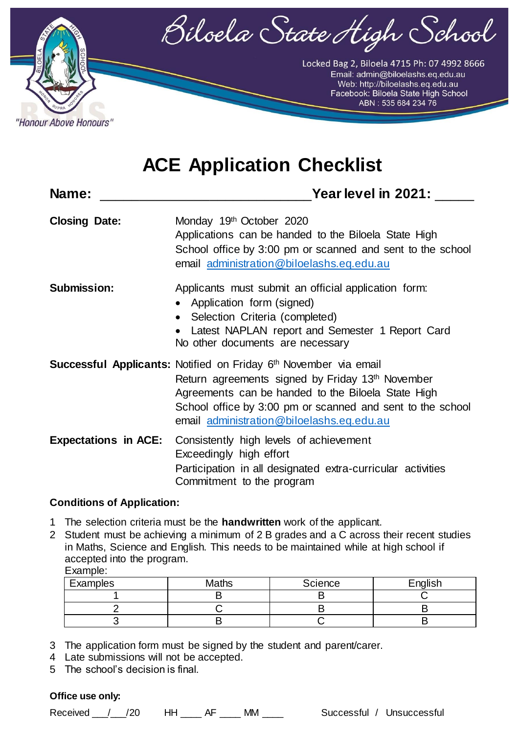

Locked Bag 2, Biloela 4715 Ph: 07 4992 8666 Email: admin@biloelashs.eq.edu.au Web: http://biloelashs.eq.edu.au<br>Facebook: Biloela State High School<br>ABN: 535 684 234 76

# **ACE Application Checklist**

| Name:                       | Year level in 2021:                                                                                                                                                                                                                                                                               |
|-----------------------------|---------------------------------------------------------------------------------------------------------------------------------------------------------------------------------------------------------------------------------------------------------------------------------------------------|
| <b>Closing Date:</b>        | Monday 19th October 2020<br>Applications can be handed to the Biloela State High<br>School office by 3:00 pm or scanned and sent to the school<br>email administration@biloelashs.eq.edu.au                                                                                                       |
| <b>Submission:</b>          | Applicants must submit an official application form:<br>• Application form (signed)<br>• Selection Criteria (completed)<br>Latest NAPLAN report and Semester 1 Report Card<br>No other documents are necessary                                                                                    |
|                             | Successful Applicants: Notified on Friday 6th November via email<br>Return agreements signed by Friday 13 <sup>th</sup> November<br>Agreements can be handed to the Biloela State High<br>School office by 3:00 pm or scanned and sent to the school<br>email administration@biloelashs.eq.edu.au |
| <b>Expectations in ACE:</b> | Consistently high levels of achievement<br>Exceedingly high effort<br>Participation in all designated extra-curricular activities<br>Commitment to the program                                                                                                                                    |

#### **Conditions of Application:**

"Honour Above Honours"

- 1 The selection criteria must be the **handwritten** work of the applicant.
- 2 Student must be achieving a minimum of 2 B grades and a C across their recent studies in Maths, Science and English. This needs to be maintained while at high school if accepted into the program. Example:

| Examples | Maths | Science | English |
|----------|-------|---------|---------|
|          |       |         |         |
|          |       |         |         |
|          |       |         |         |

- 3 The application form must be signed by the student and parent/carer.
- 4 Late submissions will not be accepted.
- 5 The school's decision is final.

#### **Office use only:**

Received / 20 HH RE MM M Successful / Unsuccessful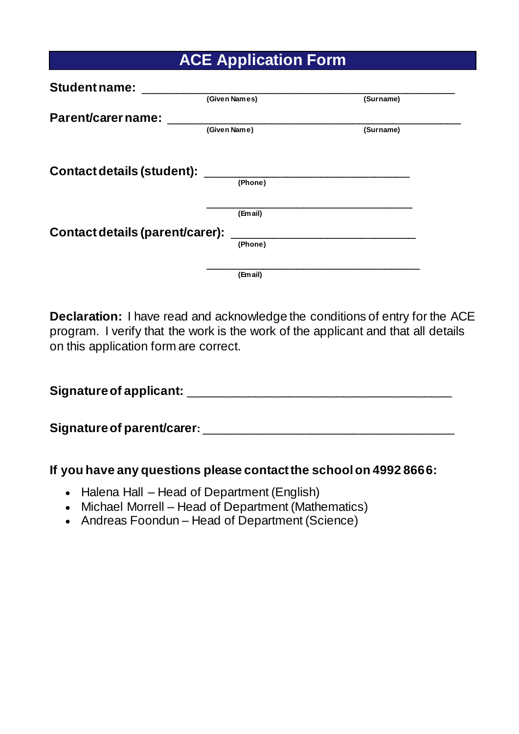|  | <b>ACE Application Form</b> |  |
|--|-----------------------------|--|
|--|-----------------------------|--|

| <b>Student name:</b>              |               |           |
|-----------------------------------|---------------|-----------|
|                                   | (Given Names) | (Surname) |
| Parent/carer name:                |               |           |
|                                   | (Given Name)  | (Surname) |
|                                   |               |           |
| <b>Contact details (student):</b> |               |           |
|                                   | (Phone)       |           |
|                                   |               |           |
|                                   | (Email)       |           |
| Contact details (parent/carer):   |               |           |
|                                   | (Phone)       |           |
|                                   |               |           |
|                                   | (Email)       |           |

**Declaration:** I have read and acknowledge the conditions of entry for the ACE program. I verify that the work is the work of the applicant and that all details on this application form are correct.

**Signature of applicant:** \_\_\_\_\_\_\_\_\_\_\_\_\_\_\_\_\_\_\_\_\_\_\_\_\_\_\_\_\_\_\_\_\_\_\_\_\_\_\_

**Signature of parent/carer:** \_\_\_\_\_\_\_\_\_\_\_\_\_\_\_\_\_\_\_\_\_\_\_\_\_\_\_\_\_\_\_\_\_\_\_\_\_

#### **If you have any questions please contact the school on 4992 8666:**

- Halena Hall Head of Department (English)
- Michael Morrell Head of Department (Mathematics)
- Andreas Foondun Head of Department (Science)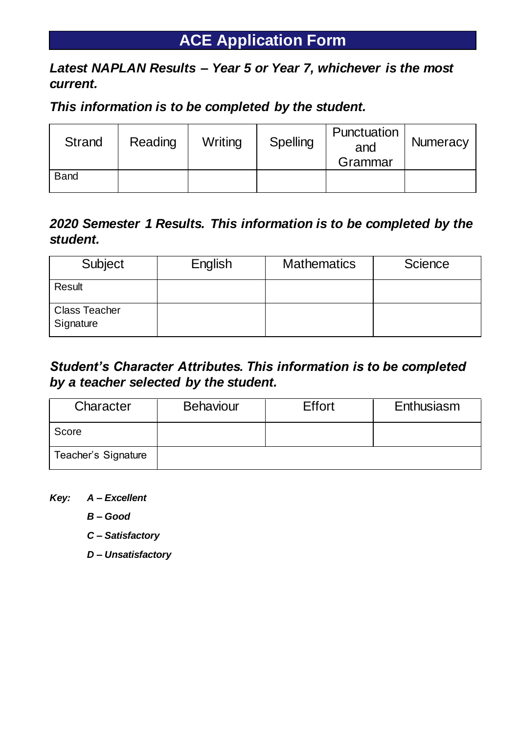## **ACE Application Form**

### **ACE Program**  *Latest NAPLAN Results – Year 5 or Year 7, whichever is the most current.*

### *This information is to be completed by the student.*

| <b>Strand</b> | Reading | Writing | Spelling | Punctuation<br>and<br>Grammar | <b>Numeracy</b> |
|---------------|---------|---------|----------|-------------------------------|-----------------|
| <b>Band</b>   |         |         |          |                               |                 |

### *2020 Semester 1 Results. This information is to be completed by the student.*

| Subject                           | English | <b>Mathematics</b> | <b>Science</b> |
|-----------------------------------|---------|--------------------|----------------|
| Result                            |         |                    |                |
| <b>Class Teacher</b><br>Signature |         |                    |                |

### *Student's Character Attributes. This information is to be completed by a teacher selected by the student.*

| Character           | <b>Behaviour</b> | <b>Effort</b> | Enthusiasm |
|---------------------|------------------|---------------|------------|
| Score               |                  |               |            |
| Teacher's Signature |                  |               |            |

*Key: A – Excellent*

*B – Good*

*C – Satisfactory*

*D – Unsatisfactory*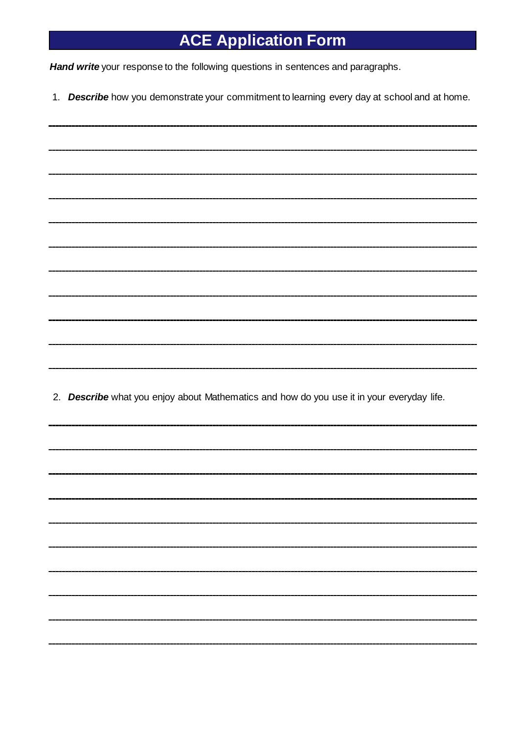# **ACE Application Form**

*Hand write* your response to the following questions in sentences and paragraphs.

1. *Describe* how you demonstrate your commitment to learning every day at school and at home.

2. *Describe* what you enjoy about Mathematics and how do you use it in your everyday life*.*